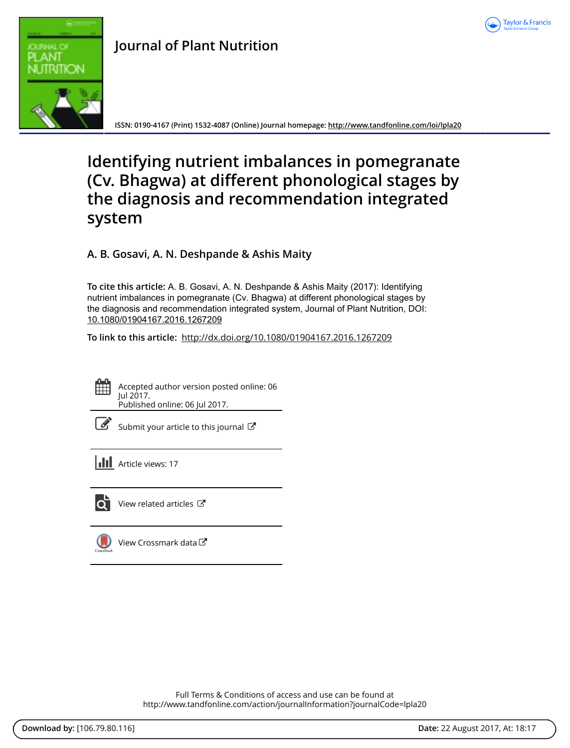



## **Journal of Plant Nutrition**

**ISSN: 0190-4167 (Print) 1532-4087 (Online) Journal homepage:<http://www.tandfonline.com/loi/lpla20>**

# **Identifying nutrient imbalances in pomegranate (Cv. Bhagwa) at different phonological stages by the diagnosis and recommendation integrated system**

**A. B. Gosavi, A. N. Deshpande & Ashis Maity**

**To cite this article:** A. B. Gosavi, A. N. Deshpande & Ashis Maity (2017): Identifying nutrient imbalances in pomegranate (Cv. Bhagwa) at different phonological stages by the diagnosis and recommendation integrated system, Journal of Plant Nutrition, DOI: [10.1080/01904167.2016.1267209](http://www.tandfonline.com/action/showCitFormats?doi=10.1080/01904167.2016.1267209)

**To link to this article:** <http://dx.doi.org/10.1080/01904167.2016.1267209>



Accepted author version posted online: 06 Jul 2017. Published online: 06 Jul 2017.

| I |
|---|
|---|

[Submit your article to this journal](http://www.tandfonline.com/action/authorSubmission?journalCode=lpla20&show=instructions)  $\mathbb{Z}$ 



 $\overline{Q}$  [View related articles](http://www.tandfonline.com/doi/mlt/10.1080/01904167.2016.1267209)  $\mathbb{Z}$ 



[View Crossmark data](http://crossmark.crossref.org/dialog/?doi=10.1080/01904167.2016.1267209&domain=pdf&date_stamp=2017-07-06)<sup>√</sup>

Full Terms & Conditions of access and use can be found at <http://www.tandfonline.com/action/journalInformation?journalCode=lpla20>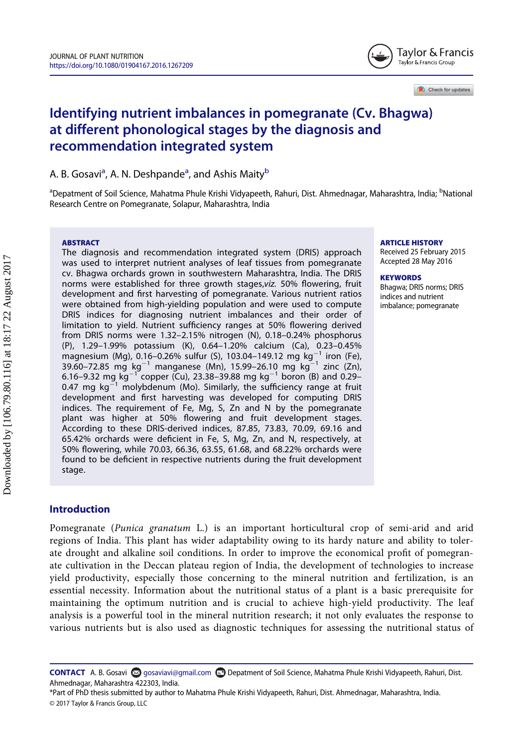

Check for updates

### Identifying nutrient imbalances in pomegranate (Cv. Bhagwa) at different phonological stages by the diagnosis and recommendation integrated system

A. B. Gos[a](#page-1-0)vi<sup>a</sup>, A. N. Deshpande<sup>a</sup>, and Ashis Maity<sup>[b](#page-1-0)</sup>

<span id="page-1-0"></span><sup>a</sup>Depatment of Soil Science, Mahatma Phule Krishi Vidyapeeth, Rahuri, Dist. Ahmednagar, Maharashtra, India; <sup>b</sup>National Research Centre on Pomegranate, Solapur, Maharashtra, India

#### ABSTRACT

The diagnosis and recommendation integrated system (DRIS) approach was used to interpret nutrient analyses of leaf tissues from pomegranate cv. Bhagwa orchards grown in southwestern Maharashtra, India. The DRIS norms were established for three growth stages,viz. 50% flowering, fruit development and first harvesting of pomegranate. Various nutrient ratios were obtained from high-yielding population and were used to compute DRIS indices for diagnosing nutrient imbalances and their order of limitation to yield. Nutrient sufficiency ranges at 50% flowering derived from DRIS norms were 1.32–2.15% nitrogen (N), 0.18–0.24% phosphorus (P), 1.29–1.99% potassium (K), 0.64–1.20% calcium (Ca), 0.23–0.45% magnesium (Mg), 0.16-0.26% sulfur (S), 103.04-149.12 mg kg<sup>-1</sup> iron (Fe), 39.60–72.85 mg kg<sup>-1</sup> manganese (Mn), 15.99–26.10 mg kg<sup>-1</sup> zinc (Zn), 6.16–9.32 mg kg<sup>-1</sup> copper (Cu), 23.38–39.88 mg kg<sup>-1</sup> boron (B) and 0.29– 0.47 mg  $kg^{-1}$  molybdenum (Mo). Similarly, the sufficiency range at fruit development and first harvesting was developed for computing DRIS indices. The requirement of Fe, Mg, S, Zn and N by the pomegranate plant was higher at 50% flowering and fruit development stages. According to these DRIS-derived indices, 87.85, 73.83, 70.09, 69.16 and 65.42% orchards were deficient in Fe, S, Mg, Zn, and N, respectively, at 50% flowering, while 70.03, 66.36, 63.55, 61.68, and 68.22% orchards were found to be deficient in respective nutrients during the fruit development stage.

#### ARTICLE HISTORY

Received 25 February 2015 Accepted 28 May 2016

#### **KEYWORDS**

Bhagwa; DRIS norms; DRIS indices and nutrient imbalance; pomegranate

#### Introduction

Pomegranate (Punica granatum L.) is an important horticultural crop of semi-arid and arid regions of India. This plant has wider adaptability owing to its hardy nature and ability to tolerate drought and alkaline soil conditions. In order to improve the economical profit of pomegranate cultivation in the Deccan plateau region of India, the development of technologies to increase yield productivity, especially those concerning to the mineral nutrition and fertilization, is an essential necessity. Information about the nutritional status of a plant is a basic prerequisite for maintaining the optimum nutrition and is crucial to achieve high-yield productivity. The leaf analysis is a powerful tool in the mineral nutrition research; it not only evaluates the response to various nutrients but is also used as diagnostic techniques for assessing the nutritional status of

CONTACT A. B. Gosavi [gosaviavi@gmail.com](mailto:gosaviavi@gmail.com) Depatment of Soil Science, Mahatma Phule Krishi Vidyapeeth, Rahuri, Dist. Ahmednagar, Maharashtra 422303, India.

<sup>\*</sup>Part of PhD thesis submitted by author to Mahatma Phule Krishi Vidyapeeth, Rahuri, Dist. Ahmednagar, Maharashtra, India. © 2017 Taylor & Francis Group, LLC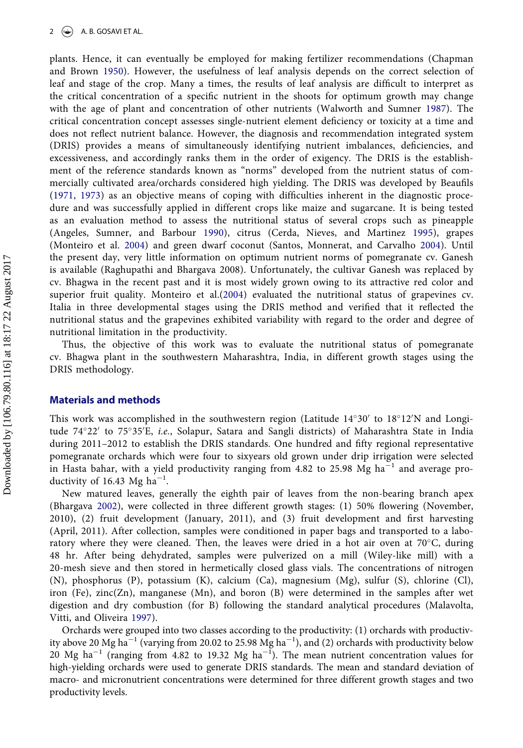plants. Hence, it can eventually be employed for making fertilizer recommendations (Chapman and Brown [1950\)](#page-8-0). However, the usefulness of leaf analysis depends on the correct selection of leaf and stage of the crop. Many a times, the results of leaf analysis are difficult to interpret as the critical concentration of a specific nutrient in the shoots for optimum growth may change with the age of plant and concentration of other nutrients (Walworth and Sumner [1987\)](#page-9-0). The critical concentration concept assesses single-nutrient element deficiency or toxicity at a time and does not reflect nutrient balance. However, the diagnosis and recommendation integrated system (DRIS) provides a means of simultaneously identifying nutrient imbalances, deficiencies, and excessiveness, and accordingly ranks them in the order of exigency. The DRIS is the establishment of the reference standards known as "norms" developed from the nutrient status of commercially cultivated area/orchards considered high yielding. The DRIS was developed by Beaufils [\(1971,](#page-8-1) [1973\)](#page-8-2) as an objective means of coping with difficulties inherent in the diagnostic procedure and was successfully applied in different crops like maize and sugarcane. It is being tested as an evaluation method to assess the nutritional status of several crops such as pineapple (Angeles, Sumner, and Barbour [1990\)](#page-8-3), citrus (Cerda, Nieves, and Martinez [1995](#page-8-4)), grapes (Monteiro et al. [2004\)](#page-8-5) and green dwarf coconut (Santos, Monnerat, and Carvalho [2004\)](#page-9-1). Until the present day, very little information on optimum nutrient norms of pomegranate cv. Ganesh is available (Raghupathi and Bhargava 2008). Unfortunately, the cultivar Ganesh was replaced by cv. Bhagwa in the recent past and it is most widely grown owing to its attractive red color and superior fruit quality. Monteiro et al.([2004\)](#page-8-5) evaluated the nutritional status of grapevines cv. Italia in three developmental stages using the DRIS method and verified that it reflected the nutritional status and the grapevines exhibited variability with regard to the order and degree of nutritional limitation in the productivity.

Thus, the objective of this work was to evaluate the nutritional status of pomegranate cv. Bhagwa plant in the southwestern Maharashtra, India, in different growth stages using the DRIS methodology.

#### Materials and methods

This work was accomplished in the southwestern region (Latitude  $14^{\circ}30'$  to  $18^{\circ}12'N$  and Longitude 74°22′ to 75°35′E, *i.e.*, Solapur, Satara and Sangli districts) of Maharashtra State in India during 2011–2012 to establish the DRIS standards. One hundred and fifty regional representative pomegranate orchards which were four to sixyears old grown under drip irrigation were selected in Hasta bahar, with a yield productivity ranging from  $4.82$  to  $25.98$  Mg ha<sup>-1</sup> and average productivity of 16.43 Mg  $ha^{-1}$ .

New matured leaves, generally the eighth pair of leaves from the non-bearing branch apex (Bhargava [2002\)](#page-8-6), were collected in three different growth stages: (1) 50% flowering (November, 2010), (2) fruit development (January, 2011), and (3) fruit development and first harvesting (April, 2011). After collection, samples were conditioned in paper bags and transported to a laboratory where they were cleaned. Then, the leaves were dried in a hot air oven at  $70^{\circ}$ C, during 48 hr. After being dehydrated, samples were pulverized on a mill (Wiley-like mill) with a 20-mesh sieve and then stored in hermetically closed glass vials. The concentrations of nitrogen (N), phosphorus (P), potassium (K), calcium (Ca), magnesium (Mg), sulfur (S), chlorine (Cl), iron (Fe), zinc(Zn), manganese (Mn), and boron (B) were determined in the samples after wet digestion and dry combustion (for B) following the standard analytical procedures (Malavolta, Vitti, and Oliveira [1997](#page-8-7)).

Orchards were grouped into two classes according to the productivity: (1) orchards with productivity above 20 Mg ha<sup>-1</sup> (varying from 20.02 to 25.98 Mg ha<sup>-1</sup>), and (2) orchards with productivity below 20 Mg ha<sup>-1</sup> (ranging from 4.82 to 19.32 Mg ha<sup>-1</sup>). The mean nutrient concentration values for high-yielding orchards were used to generate DRIS standards. The mean and standard deviation of macro- and micronutrient concentrations were determined for three different growth stages and two productivity levels.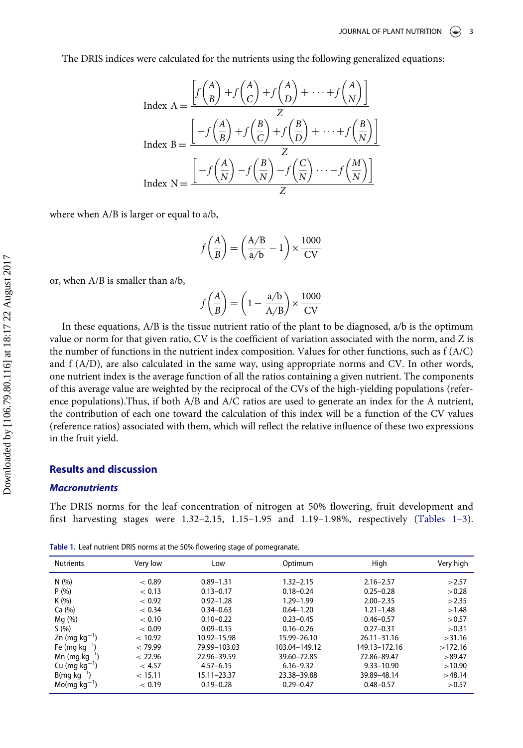The DRIS indices were calculated for the nutrients using the following generalized equations:

$$
\text{Index A} = \frac{\left[f\left(\frac{A}{B}\right) + f\left(\frac{A}{C}\right) + f\left(\frac{A}{D}\right) + \dots + f\left(\frac{A}{N}\right)\right]}{Z}
$$
\n
$$
\text{Index B} = \frac{\left[-f\left(\frac{A}{B}\right) + f\left(\frac{B}{C}\right) + f\left(\frac{B}{D}\right) + \dots + f\left(\frac{B}{N}\right)\right]}{Z}
$$
\n
$$
\text{Index N} = \frac{\left[-f\left(\frac{A}{N}\right) - f\left(\frac{B}{N}\right) - f\left(\frac{C}{N}\right) \dots - f\left(\frac{M}{N}\right)\right]}{Z}
$$

where when A/B is larger or equal to a/b,

$$
f\left(\frac{A}{B}\right) = \left(\frac{A/B}{a/b} - 1\right) \times \frac{1000}{CV}
$$

or, when A/B is smaller than a/b,

$$
f\bigg(\frac{A}{B}\bigg) = \bigg(1 - \frac{\text{a/b}}{\text{A/B}}\bigg) \times \frac{1000}{\text{CV}}
$$

In these equations, A/B is the tissue nutrient ratio of the plant to be diagnosed, a/b is the optimum value or norm for that given ratio, CV is the coefficient of variation associated with the norm, and Z is the number of functions in the nutrient index composition. Values for other functions, such as  $f(A/C)$ and f (A/D), are also calculated in the same way, using appropriate norms and CV. In other words, one nutrient index is the average function of all the ratios containing a given nutrient. The components of this average value are weighted by the reciprocal of the CVs of the high-yielding populations (reference populations).Thus, if both A/B and A/C ratios are used to generate an index for the A nutrient, the contribution of each one toward the calculation of this index will be a function of the CV values (reference ratios) associated with them, which will reflect the relative influence of these two expressions in the fruit yield.

#### Results and discussion

#### **Macronutrients**

The DRIS norms for the leaf concentration of nitrogen at 50% flowering, fruit development and first harvesting stages were 1.32–2.15, 1.15–1.95 and 1.19–1.98%, respectively ([Tables 1](#page-3-0)–3).

<span id="page-3-0"></span>Table 1. Leaf nutrient DRIS norms at the 50% flowering stage of pomegranate.

| <b>Nutrients</b>            | Very low | Low           | Optimum       | High            | Very high |
|-----------------------------|----------|---------------|---------------|-----------------|-----------|
| N(%)                        | < 0.89   | $0.89 - 1.31$ | $1.32 - 2.15$ | $2.16 - 2.57$   | >2.57     |
| P(% )                       | < 0.13   | $0.13 - 0.17$ | $0.18 - 0.24$ | $0.25 - 0.28$   | >0.28     |
| K(%)                        | < 0.92   | $0.92 - 1.28$ | $1.29 - 1.99$ | $2.00 - 2.35$   | >2.35     |
| Ca $(% )$                   | < 0.34   | $0.34 - 0.63$ | $0.64 - 1.20$ | $1.21 - 1.48$   | >1.48     |
| Mg (%)                      | < 0.10   | $0.10 - 0.22$ | $0.23 - 0.45$ | $0.46 - 0.57$   | > 0.57    |
| S(%)                        | < 0.09   | $0.09 - 0.15$ | $0.16 - 0.26$ | $0.27 - 0.31$   | > 0.31    |
| $Zn$ (mg kg <sup>-1</sup> ) | < 10.92  | 10.92-15.98   | 15.99-26.10   | $26.11 - 31.16$ | >31.16    |
| Fe (mg $kg^{-1}$ )          | < 79.99  | 79.99-103.03  | 103.04-149.12 | 149.13-172.16   | >172.16   |
| Mn (mg $kg^{-1}$ )          | < 22.96  | 22.96-39.59   | 39.60-72.85   | 72.86-89.47     | >89.47    |
| Cu (mg $kg^{-1}$ )          | < 4.57   | $4.57 - 6.15$ | $6.16 - 9.32$ | $9.33 - 10.90$  | >10.90    |
| $B(mq kq^{-1})$             | < 15.11  | 15.11-23.37   | 23.38-39.88   | 39.89-48.14     | >48.14    |
| $Mo(mq kq^{-1})$            | < 0.19   | $0.19 - 0.28$ | $0.29 - 0.47$ | $0.48 - 0.57$   | >0.57     |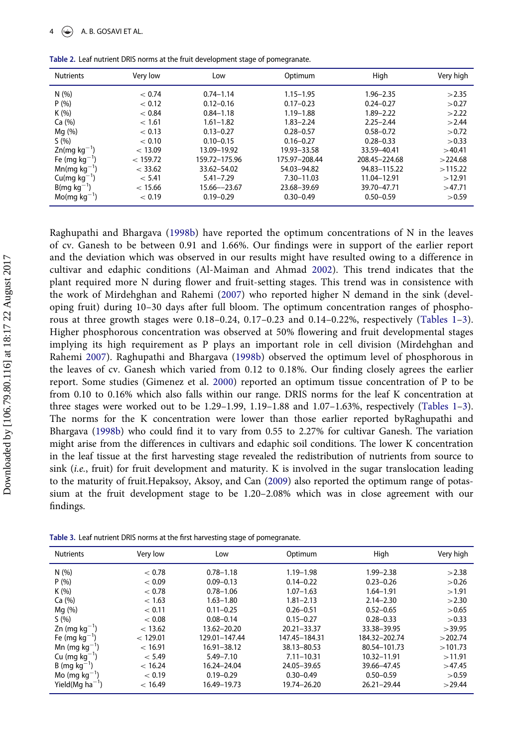| <b>Nutrients</b>            | Very low | Low             | Optimum       | High          | Very high |
|-----------------------------|----------|-----------------|---------------|---------------|-----------|
| N(%)                        | < 0.74   | $0.74 - 1.14$   | $1.15 - 1.95$ | $1.96 - 2.35$ | >2.35     |
| P(% )                       | < 0.12   | $0.12 - 0.16$   | $0.17 - 0.23$ | $0.24 - 0.27$ | >0.27     |
| K(%)                        | < 0.84   | $0.84 - 1.18$   | $1.19 - 1.88$ | $1.89 - 2.22$ | >2.22     |
| Ca $(%$                     | < 1.61   | $1.61 - 1.82$   | $1.83 - 2.24$ | $2.25 - 2.44$ | >2.44     |
| Mq(%)                       | < 0.13   | $0.13 - 0.27$   | $0.28 - 0.57$ | $0.58 - 0.72$ | > 0.72    |
| S(96)                       | < 0.10   | $0.10 - 0.15$   | $0.16 - 0.27$ | $0.28 - 0.33$ | > 0.33    |
| $Zn(mq kq^{-1})$            | < 13.09  | 13.09-19.92     | 19.93 - 33.58 | 33.59-40.41   | >40.41    |
| Fe (mg $kg^{-1}$ )          | < 159.72 | 159.72-175.96   | 175.97-208.44 | 208.45-224.68 | >224.68   |
| $Mn(mq kq^{-1})$            | < 33.62  | 33.62-54.02     | 54.03-94.82   | 94.83-115.22  | >115.22   |
| $Cu$ (mg kg <sup>-1</sup> ) | < 5.41   | $5.41 - 7.29$   | 7.30-11.03    | 11.04-12.91   | >12.91    |
| $B(mg kg^{-1})$             | < 15.66  | $15.66 - 23.67$ | 23.68-39.69   | 39.70-47.71   | >47.71    |
| $Mo(mq kq^{-1})$            | < 0.19   | $0.19 - 0.29$   | $0.30 - 0.49$ | $0.50 - 0.59$ | >0.59     |

Table 2. Leaf nutrient DRIS norms at the fruit development stage of pomegranate.

Raghupathi and Bhargava [\(1998b\)](#page-9-2) have reported the optimum concentrations of N in the leaves of cv. Ganesh to be between 0.91 and 1.66%. Our findings were in support of the earlier report and the deviation which was observed in our results might have resulted owing to a difference in cultivar and edaphic conditions (Al-Maiman and Ahmad [2002](#page-8-8)). This trend indicates that the plant required more N during flower and fruit-setting stages. This trend was in consistence with the work of Mirdehghan and Rahemi [\(2007\)](#page-8-9) who reported higher N demand in the sink (developing fruit) during 10–30 days after full bloom. The optimum concentration ranges of phosphorous at three growth stages were  $0.18-0.24$ ,  $0.17-0.23$  $0.17-0.23$  and  $0.14-0.22$ %, respectively ([Tables 1](#page-3-0)-3). Higher phosphorous concentration was observed at 50% flowering and fruit developmental stages implying its high requirement as P plays an important role in cell division (Mirdehghan and Rahemi [2007](#page-8-9)). Raghupathi and Bhargava ([1998b\)](#page-9-2) observed the optimum level of phosphorous in the leaves of cv. Ganesh which varied from 0.12 to 0.18%. Our finding closely agrees the earlier report. Some studies (Gimenez et al. [2000\)](#page-8-10) reported an optimum tissue concentration of P to be from 0.10 to 0.16% which also falls within our range. DRIS norms for the leaf K concentration at three stages were worked out to be 1.29–1.99, 1.19–1.88 and 1.07–1.63%, respectively [\(Tables 1](#page-3-0)–[3](#page-4-0)). The norms for the K concentration were lower than those earlier reported byRaghupathi and Bhargava [\(1998b](#page-9-2)) who could find it to vary from 0.55 to 2.27% for cultivar Ganesh. The variation might arise from the differences in cultivars and edaphic soil conditions. The lower K concentration in the leaf tissue at the first harvesting stage revealed the redistribution of nutrients from source to sink (i.e., fruit) for fruit development and maturity. K is involved in the sugar translocation leading to the maturity of fruit.Hepaksoy, Aksoy, and Can [\(2009](#page-8-11)) also reported the optimum range of potassium at the fruit development stage to be 1.20–2.08% which was in close agreement with our findings.

<span id="page-4-0"></span>Table 3. Leaf nutrient DRIS norms at the first harvesting stage of pomegranate.

| <b>Nutrients</b>       | Very low | Low           | Optimum        | High            | Very high |
|------------------------|----------|---------------|----------------|-----------------|-----------|
| N(%)                   | < 0.78   | $0.78 - 1.18$ | $1.19 - 1.98$  | $1.99 - 2.38$   | >2.38     |
| P(% )                  | < 0.09   | $0.09 - 0.13$ | $0.14 - 0.22$  | $0.23 - 0.26$   | >0.26     |
| K(%)                   | < 0.78   | $0.78 - 1.06$ | $1.07 - 1.63$  | $1.64 - 1.91$   | >1.91     |
| Ca (%)                 | < 1.63   | $1.63 - 1.80$ | $1.81 - 2.13$  | $2.14 - 2.30$   | >2.30     |
| Mq(%)                  | < 0.11   | $0.11 - 0.25$ | $0.26 - 0.51$  | $0.52 - 0.65$   | >0.65     |
| S(%)                   | < 0.08   | $0.08 - 0.14$ | $0.15 - 0.27$  | $0.28 - 0.33$   | > 0.33    |
| Zn (mg $kg^{-1}$ )     | < 13.62  | 13.62-20.20   | 20.21-33.37    | 33.38-39.95     | >39.95    |
| Fe (mg $kg^{-1}$ )     | < 129.01 | 129.01-147.44 | 147.45-184.31  | 184.32-202.74   | >202.74   |
| Mn (mg $kg^{-1}$ )     | < 16.91  | 16.91-38.12   | 38.13-80.53    | 80.54-101.73    | >101.73   |
| Cu (mg $kg^{-1}$ )     | < 5.49   | $5.49 - 7.10$ | $7.11 - 10.31$ | 10.32-11.91     | >11.91    |
| $B \, (mg \, kg^{-1})$ | < 16.24  | 16.24-24.04   | 24.05-39.65    | 39.66-47.45     | >47.45    |
| Mo (mg $kq^{-1}$ )     | < 0.19   | $0.19 - 0.29$ | $0.30 - 0.49$  | $0.50 - 0.59$   | >0.59     |
| Yield(Mg $ha^{-1}$ )   | < 16.49  | 16.49-19.73   | 19.74-26.20    | $26.21 - 29.44$ | >29.44    |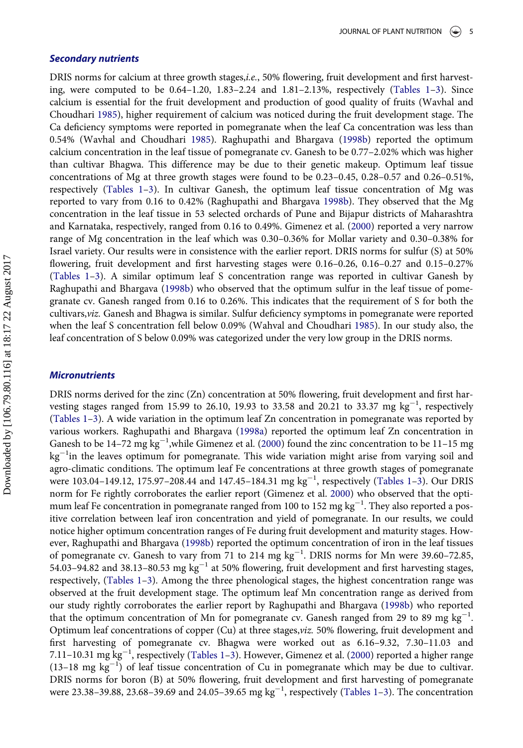#### Secondary nutrients

DRIS norms for calcium at three growth stages,i.e., 50% flowering, fruit development and first harvesting, were computed to be 0.64–1.20, 1.83–2.24 and 1.81–2.13%, respectively [\(Tables 1](#page-3-0)–[3\)](#page-4-0). Since calcium is essential for the fruit development and production of good quality of fruits (Wavhal and Choudhari [1985\)](#page-9-3), higher requirement of calcium was noticed during the fruit development stage. The Ca deficiency symptoms were reported in pomegranate when the leaf Ca concentration was less than 0.54% (Wavhal and Choudhari [1985](#page-9-3)). Raghupathi and Bhargava ([1998b](#page-9-2)) reported the optimum calcium concentration in the leaf tissue of pomegranate cv. Ganesh to be 0.77–2.02% which was higher than cultivar Bhagwa. This difference may be due to their genetic makeup. Optimum leaf tissue concentrations of Mg at three growth stages were found to be 0.23–0.45, 0.28–0.57 and 0.26–0.51%, respectively ([Tables 1](#page-3-0)–[3\)](#page-4-0). In cultivar Ganesh, the optimum leaf tissue concentration of Mg was reported to vary from 0.16 to 0.42% (Raghupathi and Bhargava [1998b\)](#page-9-2). They observed that the Mg concentration in the leaf tissue in 53 selected orchards of Pune and Bijapur districts of Maharashtra and Karnataka, respectively, ranged from 0.16 to 0.49%. Gimenez et al. [\(2000](#page-8-10)) reported a very narrow range of Mg concentration in the leaf which was 0.30–0.36% for Mollar variety and 0.30–0.38% for Israel variety. Our results were in consistence with the earlier report. DRIS norms for sulfur (S) at 50% flowering, fruit development and first harvesting stages were 0.16–0.26, 0.16–0.27 and 0.15–0.27% [\(Tables 1](#page-3-0)–[3](#page-4-0)). A similar optimum leaf S concentration range was reported in cultivar Ganesh by Raghupathi and Bhargava ([1998b](#page-9-2)) who observed that the optimum sulfur in the leaf tissue of pomegranate cv. Ganesh ranged from 0.16 to 0.26%. This indicates that the requirement of S for both the cultivars,viz. Ganesh and Bhagwa is similar. Sulfur deficiency symptoms in pomegranate were reported when the leaf S concentration fell below 0.09% (Wahval and Choudhari [1985\)](#page-9-3). In our study also, the leaf concentration of S below 0.09% was categorized under the very low group in the DRIS norms.

#### **Micronutrients**

DRIS norms derived for the zinc (Zn) concentration at 50% flowering, fruit development and first harvesting stages ranged from 15.99 to 26.10, 19.93 to 33.58 and 20.21 to 33.37 mg  $kg^{-1}$ , respectively [\(Tables 1](#page-3-0)–[3](#page-4-0)). A wide variation in the optimum leaf Zn concentration in pomegranate was reported by various workers. Raghupathi and Bhargava ([1998a](#page-8-12)) reported the optimum leaf Zn concentration in Ganesh to be 14-72 mg  $\text{kg}^{-1}$ , while Gimenez et al. ([2000\)](#page-8-10) found the zinc concentration to be 11-15 mg kg<sup>-1</sup>in the leaves optimum for pomegranate. This wide variation might arise from varying soil and agro-climatic conditions. The optimum leaf Fe concentrations at three growth stages of pomegranate were 103.04-149.12, 175.97-208.44 and 147.45-184.31 mg  $\text{kg}^{-1}$ , respectively [\(Tables 1](#page-3-0)-[3\)](#page-4-0). Our DRIS norm for Fe rightly corroborates the earlier report (Gimenez et al. [2000](#page-8-10)) who observed that the optimum leaf Fe concentration in pomegranate ranged from 100 to 152 mg  $\text{kg}^{-1}$ . They also reported a positive correlation between leaf iron concentration and yield of pomegranate. In our results, we could notice higher optimum concentration ranges of Fe during fruit development and maturity stages. However, Raghupathi and Bhargava ([1998b\)](#page-9-2) reported the optimum concentration of iron in the leaf tissues of pomegranate cv. Ganesh to vary from 71 to 214  $mg \, kg^{-1}$ . DRIS norms for Mn were 39.60-72.85, 54.03-94.82 and 38.13-80.53 mg  $kg^{-1}$  at 50% flowering, fruit development and first harvesting stages, respectively, ([Tables 1](#page-3-0)–[3\)](#page-4-0). Among the three phenological stages, the highest concentration range was observed at the fruit development stage. The optimum leaf Mn concentration range as derived from our study rightly corroborates the earlier report by Raghupathi and Bhargava ([1998b\)](#page-9-2) who reported that the optimum concentration of Mn for pomegranate cv. Ganesh ranged from 29 to 89 mg  $kg^{-1}$ . Optimum leaf concentrations of copper (Cu) at three stages,viz. 50% flowering, fruit development and first harvesting of pomegranate cv. Bhagwa were worked out as 6.16–9.32, 7.30–11.03 and 7.11-10.31 mg kg<sup>-1</sup>, respectively ([Tables 1](#page-3-0)-[3\)](#page-4-0). However, Gimenez et al. ([2000\)](#page-8-10) reported a higher range  $(13-18 \text{ mg kg}^{-1})$  of leaf tissue concentration of Cu in pomegranate which may be due to cultivar. DRIS norms for boron (B) at 50% flowering, fruit development and first harvesting of pomegranate were 2[3](#page-4-0).38–39.88, 23.68–39.69 and 24.05–39.65 mg  $kg^{-1}$ , respectively [\(Tables 1](#page-3-0)–3). The concentration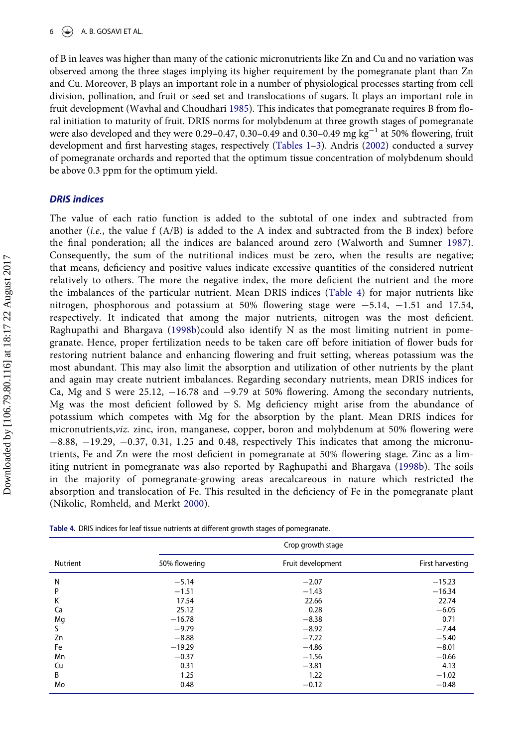of B in leaves was higher than many of the cationic micronutrients like Zn and Cu and no variation was observed among the three stages implying its higher requirement by the pomegranate plant than Zn and Cu. Moreover, B plays an important role in a number of physiological processes starting from cell division, pollination, and fruit or seed set and translocations of sugars. It plays an important role in fruit development (Wavhal and Choudhari [1985\)](#page-9-3). This indicates that pomegranate requires B from floral initiation to maturity of fruit. DRIS norms for molybdenum at three growth stages of pomegranate were also developed and they were 0.29-0.47, 0.30-0.49 and 0.30-0.49 mg  $kg^{-1}$  at 50% flowering, fruit development and first harvesting stages, respectively ([Tables 1](#page-3-0)–[3](#page-4-0)). Andris [\(2002](#page-8-13)) conducted a survey of pomegranate orchards and reported that the optimum tissue concentration of molybdenum should be above 0.3 ppm for the optimum yield.

#### DRIS indices

The value of each ratio function is added to the subtotal of one index and subtracted from another (*i.e.*, the value  $f(A/B)$  is added to the A index and subtracted from the B index) before the final ponderation; all the indices are balanced around zero (Walworth and Sumner [1987](#page-9-0)). Consequently, the sum of the nutritional indices must be zero, when the results are negative; that means, deficiency and positive values indicate excessive quantities of the considered nutrient relatively to others. The more the negative index, the more deficient the nutrient and the more the imbalances of the particular nutrient. Mean DRIS indices ([Table 4](#page-6-0)) for major nutrients like nitrogen, phosphorous and potassium at 50% flowering stage were  $-5.14$ ,  $-1.51$  and 17.54, respectively. It indicated that among the major nutrients, nitrogen was the most deficient. Raghupathi and Bhargava ([1998b\)](#page-9-2)could also identify N as the most limiting nutrient in pomegranate. Hence, proper fertilization needs to be taken care off before initiation of flower buds for restoring nutrient balance and enhancing flowering and fruit setting, whereas potassium was the most abundant. This may also limit the absorption and utilization of other nutrients by the plant and again may create nutrient imbalances. Regarding secondary nutrients, mean DRIS indices for Ca, Mg and S were 25.12,  $-16.78$  and  $-9.79$  at 50% flowering. Among the secondary nutrients, Mg was the most deficient followed by S. Mg deficiency might arise from the abundance of potassium which competes with Mg for the absorption by the plant. Mean DRIS indices for micronutrients,viz. zinc, iron, manganese, copper, boron and molybdenum at 50% flowering were  $-8.88$ ,  $-19.29$ ,  $-0.37$ , 0.31, 1.25 and 0.48, respectively This indicates that among the micronutrients, Fe and Zn were the most deficient in pomegranate at 50% flowering stage. Zinc as a limiting nutrient in pomegranate was also reported by Raghupathi and Bhargava ([1998b\)](#page-9-2). The soils in the majority of pomegranate-growing areas arecalcareous in nature which restricted the absorption and translocation of Fe. This resulted in the deficiency of Fe in the pomegranate plant (Nikolic, Romheld, and Merkt [2000\)](#page-8-14).

|                 | Crop growth stage |                   |                  |  |  |
|-----------------|-------------------|-------------------|------------------|--|--|
| <b>Nutrient</b> | 50% flowering     | Fruit development | First harvesting |  |  |
| N               | $-5.14$           | $-2.07$           | $-15.23$         |  |  |
| P               | $-1.51$           | $-1.43$           | $-16.34$         |  |  |
| K               | 17.54             | 22.66             | 22.74            |  |  |
| Сa              | 25.12             | 0.28              | $-6.05$          |  |  |
| Mg              | $-16.78$          | $-8.38$           | 0.71             |  |  |
| S               | $-9.79$           | $-8.92$           | $-7.44$          |  |  |
| Zn              | $-8.88$           | $-7.22$           | $-5.40$          |  |  |
| Fe              | $-19.29$          | $-4.86$           | $-8.01$          |  |  |
| Mn              | $-0.37$           | $-1.56$           | $-0.66$          |  |  |
| Cu              | 0.31              | $-3.81$           | 4.13             |  |  |
| B               | 1.25              | 1.22              | $-1.02$          |  |  |
| Mo              | 0.48              | $-0.12$           | $-0.48$          |  |  |

<span id="page-6-0"></span>

| Table 4. DRIS indices for leaf tissue nutrients at different growth stages of pomegranate. |  |  |  |
|--------------------------------------------------------------------------------------------|--|--|--|
|--------------------------------------------------------------------------------------------|--|--|--|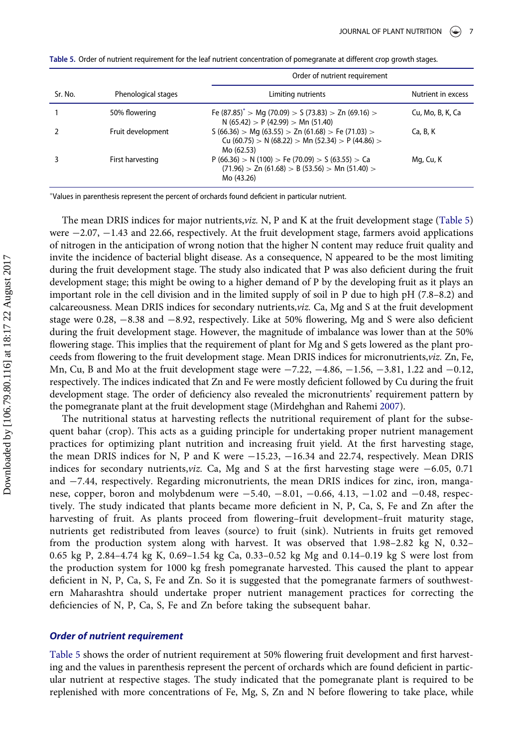|         |                     | Order of nutrient requirement                                                                                            |                    |  |
|---------|---------------------|--------------------------------------------------------------------------------------------------------------------------|--------------------|--|
| Sr. No. | Phenological stages | Limiting nutrients                                                                                                       | Nutrient in excess |  |
|         | 50% flowering       | Fe $(87.85)^*$ > Mg (70.09) > S (73.83) > Zn (69.16) ><br>N (65.42) > P (42.99) > Mn (51.40)                             | Cu, Mo, B, K, Ca   |  |
|         | Fruit development   | $S(66.36) > Mg(63.55) > Zn(61.68) > Fe(71.03) >$<br>Cu (60.75) > N (68.22) > Mn (52.34) > P (44.86) ><br>Mo (62.53)      | Ca, B, K           |  |
|         | First harvesting    | $P(66.36) > N(100) > Fe(70.09) > S(63.55) > Ca$<br>$(71.96)$ > Zn $(61.68)$ > B $(53.56)$ > Mn $(51.40)$ ><br>Mo (43.26) | Mg, Cu, K          |  |

<span id="page-7-0"></span>Table 5. Order of nutrient requirement for the leaf nutrient concentration of pomegranate at different crop growth stages.

<span id="page-7-1"></span>Values in parenthesis represent the percent of orchards found deficient in particular nutrient.

The mean DRIS indices for major nutrients,viz. N, P and K at the fruit development stage [\(Table 5\)](#page-7-0) were  $-2.07$ ,  $-1.43$  and 22.66, respectively. At the fruit development stage, farmers avoid applications of nitrogen in the anticipation of wrong notion that the higher N content may reduce fruit quality and invite the incidence of bacterial blight disease. As a consequence, N appeared to be the most limiting during the fruit development stage. The study also indicated that P was also deficient during the fruit development stage; this might be owing to a higher demand of P by the developing fruit as it plays an important role in the cell division and in the limited supply of soil in P due to high pH (7.8–8.2) and calcareousness. Mean DRIS indices for secondary nutrients,viz. Ca, Mg and S at the fruit development stage were  $0.28, -8.38$  and  $-8.92$ , respectively. Like at 50% flowering, Mg and S were also deficient during the fruit development stage. However, the magnitude of imbalance was lower than at the 50% flowering stage. This implies that the requirement of plant for Mg and S gets lowered as the plant proceeds from flowering to the fruit development stage. Mean DRIS indices for micronutrients,viz. Zn, Fe, Mn, Cu, B and Mo at the fruit development stage were  $-7.22$ ,  $-4.86$ ,  $-1.56$ ,  $-3.81$ , 1.22 and  $-0.12$ , respectively. The indices indicated that Zn and Fe were mostly deficient followed by Cu during the fruit development stage. The order of deficiency also revealed the micronutrients' requirement pattern by the pomegranate plant at the fruit development stage (Mirdehghan and Rahemi [2007](#page-8-9)).

The nutritional status at harvesting reflects the nutritional requirement of plant for the subsequent bahar (crop). This acts as a guiding principle for undertaking proper nutrient management practices for optimizing plant nutrition and increasing fruit yield. At the first harvesting stage, the mean DRIS indices for N, P and K were  $-15.23$ ,  $-16.34$  and 22.74, respectively. Mean DRIS indices for secondary nutrients, viz. Ca, Mg and S at the first harvesting stage were  $-6.05$ , 0.71 and  $-7.44$ , respectively. Regarding micronutrients, the mean DRIS indices for zinc, iron, manganese, copper, boron and molybdenum were  $-5.40, -8.01, -0.66, 4.13, -1.02$  and  $-0.48$ , respectively. The study indicated that plants became more deficient in N, P, Ca, S, Fe and Zn after the harvesting of fruit. As plants proceed from flowering–fruit development–fruit maturity stage, nutrients get redistributed from leaves (source) to fruit (sink). Nutrients in fruits get removed from the production system along with harvest. It was observed that 1.98–2.82 kg N, 0.32– 0.65 kg P, 2.84–4.74 kg K, 0.69–1.54 kg Ca, 0.33–0.52 kg Mg and 0.14–0.19 kg S were lost from the production system for 1000 kg fresh pomegranate harvested. This caused the plant to appear deficient in N, P, Ca, S, Fe and Zn. So it is suggested that the pomegranate farmers of southwestern Maharashtra should undertake proper nutrient management practices for correcting the deficiencies of N, P, Ca, S, Fe and Zn before taking the subsequent bahar.

#### Order of nutrient requirement

[Table 5](#page-7-0) shows the order of nutrient requirement at 50% flowering fruit development and first harvesting and the values in parenthesis represent the percent of orchards which are found deficient in particular nutrient at respective stages. The study indicated that the pomegranate plant is required to be replenished with more concentrations of Fe, Mg, S, Zn and N before flowering to take place, while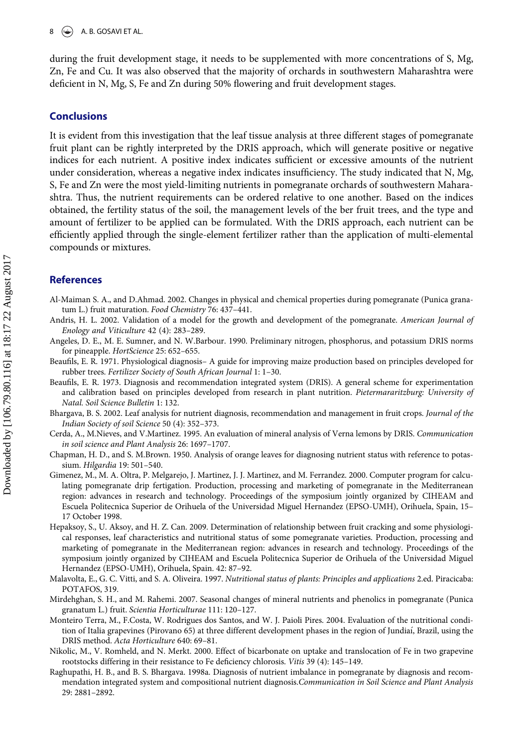during the fruit development stage, it needs to be supplemented with more concentrations of S, Mg, Zn, Fe and Cu. It was also observed that the majority of orchards in southwestern Maharashtra were deficient in N, Mg, S, Fe and Zn during 50% flowering and fruit development stages.

#### **Conclusions**

It is evident from this investigation that the leaf tissue analysis at three different stages of pomegranate fruit plant can be rightly interpreted by the DRIS approach, which will generate positive or negative indices for each nutrient. A positive index indicates sufficient or excessive amounts of the nutrient under consideration, whereas a negative index indicates insufficiency. The study indicated that N, Mg, S, Fe and Zn were the most yield-limiting nutrients in pomegranate orchards of southwestern Maharashtra. Thus, the nutrient requirements can be ordered relative to one another. Based on the indices obtained, the fertility status of the soil, the management levels of the ber fruit trees, and the type and amount of fertilizer to be applied can be formulated. With the DRIS approach, each nutrient can be efficiently applied through the single-element fertilizer rather than the application of multi-elemental compounds or mixtures.

#### References

<span id="page-8-8"></span>Al-Maiman S. A., and D.Ahmad. 2002. Changes in physical and chemical properties during pomegranate (Punica granatum L.) fruit maturation. Food Chemistry 76: 437–441.

- <span id="page-8-13"></span>Andris, H. L. 2002. Validation of a model for the growth and development of the pomegranate. American Journal of Enology and Viticulture 42 (4): 283–289.
- <span id="page-8-3"></span>Angeles, D. E., M. E. Sumner, and N. W.Barbour. 1990. Preliminary nitrogen, phosphorus, and potassium DRIS norms for pineapple. HortScience 25: 652–655.
- <span id="page-8-1"></span>Beaufils, E. R. 1971. Physiological diagnosis– A guide for improving maize production based on principles developed for rubber trees. Fertilizer Society of South African Journal 1: 1–30.
- <span id="page-8-2"></span>Beaufils, E. R. 1973. Diagnosis and recommendation integrated system (DRIS). A general scheme for experimentation and calibration based on principles developed from research in plant nutrition. Pietermararitzburg: University of Natal. Soil Science Bulletin 1: 132.
- <span id="page-8-6"></span>Bhargava, B. S. 2002. Leaf analysis for nutrient diagnosis, recommendation and management in fruit crops. Journal of the Indian Society of soil Science 50 (4): 352–373.
- <span id="page-8-4"></span>Cerda, A., M.Nieves, and V.Martinez. 1995. An evaluation of mineral analysis of Verna lemons by DRIS. Communication in soil science and Plant Analysis 26: 1697–1707.
- <span id="page-8-0"></span>Chapman, H. D., and S. M.Brown. 1950. Analysis of orange leaves for diagnosing nutrient status with reference to potassium. Hilgardia 19: 501–540.
- <span id="page-8-10"></span>Gimenez, M., M. A. Oltra, P. Melgarejo, J. Martinez, J. J. Martinez, and M. Ferrandez. 2000. Computer program for calculating pomegranate drip fertigation. Production, processing and marketing of pomegranate in the Mediterranean region: advances in research and technology. Proceedings of the symposium jointly organized by CIHEAM and Escuela Politecnica Superior de Orihuela of the Universidad Miguel Hernandez (EPSO-UMH), Orihuela, Spain, 15– 17 October 1998.
- <span id="page-8-11"></span>Hepaksoy, S., U. Aksoy, and H. Z. Can. 2009. Determination of relationship between fruit cracking and some physiological responses, leaf characteristics and nutritional status of some pomegranate varieties. Production, processing and marketing of pomegranate in the Mediterranean region: advances in research and technology. Proceedings of the symposium jointly organized by CIHEAM and Escuela Politecnica Superior de Orihuela of the Universidad Miguel Hernandez (EPSO-UMH), Orihuela, Spain. 42: 87–92.
- <span id="page-8-7"></span>Malavolta, E., G. C. Vitti, and S. A. Oliveira. 1997. Nutritional status of plants: Principles and applications 2.ed. Piracicaba: POTAFOS, 319.
- <span id="page-8-9"></span>Mirdehghan, S. H., and M. Rahemi. 2007. Seasonal changes of mineral nutrients and phenolics in pomegranate (Punica granatum L.) fruit. Scientia Horticulturae 111: 120–127.
- <span id="page-8-5"></span>Monteiro Terra, M., F.Costa, W. Rodrigues dos Santos, and W. J. Paioli Pires. 2004. Evaluation of the nutritional condition of Italia grapevines (Pirovano 65) at three different development phases in the region of Jundiaı, Brazil, using the DRIS method. Acta Horticulture 640: 69–81.
- <span id="page-8-14"></span>Nikolic, M., V. Romheld, and N. Merkt. 2000. Effect of bicarbonate on uptake and translocation of Fe in two grapevine rootstocks differing in their resistance to Fe deficiency chlorosis. Vitis 39 (4): 145–149.
- <span id="page-8-12"></span>Raghupathi, H. B., and B. S. Bhargava. 1998a. Diagnosis of nutrient imbalance in pomegranate by diagnosis and recommendation integrated system and compositional nutrient diagnosis.Communication in Soil Science and Plant Analysis 29: 2881–2892.